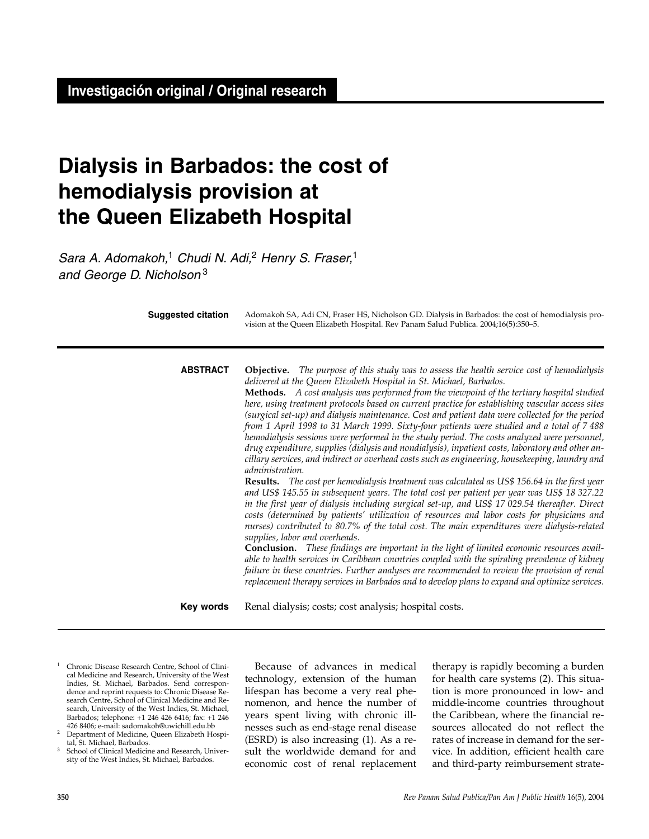# **Dialysis in Barbados: the cost of hemodialysis provision at the Queen Elizabeth Hospital**

*Sara A. Adomakoh,*<sup>1</sup> *Chudi N. Adi,*<sup>2</sup> *Henry S. Fraser,*<sup>1</sup> *and George D. Nicholson* <sup>3</sup>

| <b>Suggested citation</b> | Adomakoh SA, Adi CN, Fraser HS, Nicholson GD. Dialysis in Barbados: the cost of hemodialysis pro-<br>vision at the Queen Elizabeth Hospital. Rev Panam Salud Publica. 2004;16(5):350-5.                                                                                                                                                                                                                                                                                                                                                                                                                                                                                                                                                                                                                                                                                                                                                                                                                                                                                                                                                                                                                                                                                                                                                                                                                                                                                                                                                                                                                                                                                                                                                                                                                                                        |
|---------------------------|------------------------------------------------------------------------------------------------------------------------------------------------------------------------------------------------------------------------------------------------------------------------------------------------------------------------------------------------------------------------------------------------------------------------------------------------------------------------------------------------------------------------------------------------------------------------------------------------------------------------------------------------------------------------------------------------------------------------------------------------------------------------------------------------------------------------------------------------------------------------------------------------------------------------------------------------------------------------------------------------------------------------------------------------------------------------------------------------------------------------------------------------------------------------------------------------------------------------------------------------------------------------------------------------------------------------------------------------------------------------------------------------------------------------------------------------------------------------------------------------------------------------------------------------------------------------------------------------------------------------------------------------------------------------------------------------------------------------------------------------------------------------------------------------------------------------------------------------|
| <b>ABSTRACT</b>           | <b>Objective.</b> The purpose of this study was to assess the health service cost of hemodialysis<br>delivered at the Queen Elizabeth Hospital in St. Michael, Barbados.<br>Methods. A cost analysis was performed from the viewpoint of the tertiary hospital studied<br>here, using treatment protocols based on current practice for establishing vascular access sites<br>(surgical set-up) and dialysis maintenance. Cost and patient data were collected for the period<br>from 1 April 1998 to 31 March 1999. Sixty-four patients were studied and a total of 7 488<br>hemodialysis sessions were performed in the study period. The costs analyzed were personnel,<br>drug expenditure, supplies (dialysis and nondialysis), inpatient costs, laboratory and other an-<br>cillary services, and indirect or overhead costs such as engineering, housekeeping, laundry and<br>administration.<br><b>Results.</b> The cost per hemodialysis treatment was calculated as US\$ 156.64 in the first year<br>and US\$ 145.55 in subsequent years. The total cost per patient per year was US\$ 18 327.22<br>in the first year of dialysis including surgical set-up, and US\$ 17 029.54 thereafter. Direct<br>costs (determined by patients' utilization of resources and labor costs for physicians and<br>nurses) contributed to 80.7% of the total cost. The main expenditures were dialysis-related<br>supplies, labor and overheads.<br>Conclusion. These findings are important in the light of limited economic resources avail-<br>able to health services in Caribbean countries coupled with the spiraling prevalence of kidney<br>failure in these countries. Further analyses are recommended to review the provision of renal<br>replacement therapy services in Barbados and to develop plans to expand and optimize services. |
| Key words                 | Renal dialysis; costs; cost analysis; hospital costs.                                                                                                                                                                                                                                                                                                                                                                                                                                                                                                                                                                                                                                                                                                                                                                                                                                                                                                                                                                                                                                                                                                                                                                                                                                                                                                                                                                                                                                                                                                                                                                                                                                                                                                                                                                                          |

<sup>1</sup> Chronic Disease Research Centre, School of Clinical Medicine and Research, University of the West Indies, St. Michael, Barbados. Send correspondence and reprint requests to: Chronic Disease Research Centre, School of Clinical Medicine and Research, University of the West Indies, St. Michael, Barbados; telephone: +1 246 426 6416; fax: +1 246 426 8406; e-mail: sadomakoh@uwichill.edu.bb

<sup>2</sup> Department of Medicine, Queen Elizabeth Hospi-

tal, St. Michael, Barbados.<br><sup>3</sup> School of Clinical Medicine and Research, University of the West Indies, St. Michael, Barbados.

Because of advances in medical technology, extension of the human lifespan has become a very real phenomenon, and hence the number of years spent living with chronic illnesses such as end-stage renal disease (ESRD) is also increasing (1). As a result the worldwide demand for and economic cost of renal replacement

therapy is rapidly becoming a burden for health care systems (2). This situation is more pronounced in low- and middle-income countries throughout the Caribbean, where the financial resources allocated do not reflect the rates of increase in demand for the service. In addition, efficient health care and third-party reimbursement strate-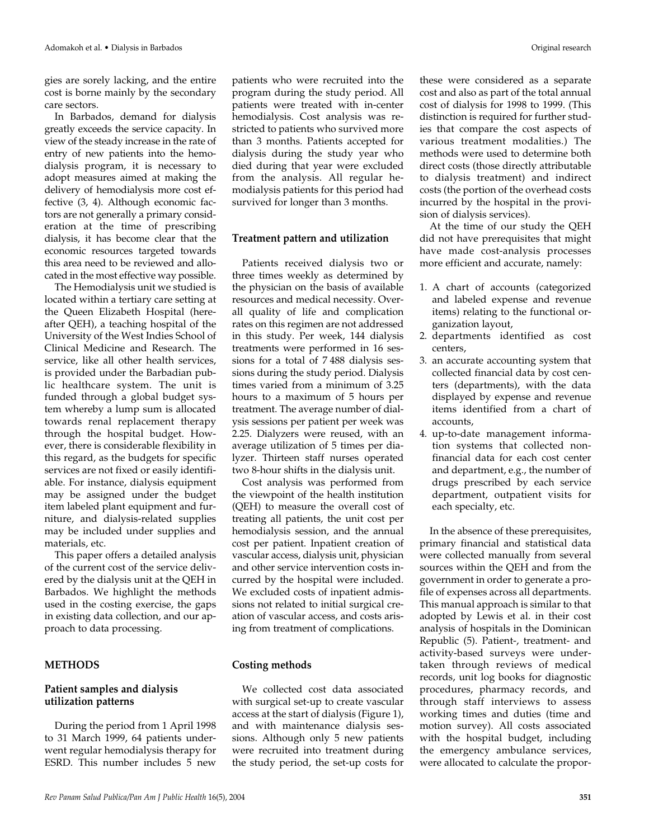gies are sorely lacking, and the entire cost is borne mainly by the secondary care sectors.

In Barbados, demand for dialysis greatly exceeds the service capacity. In view of the steady increase in the rate of entry of new patients into the hemodialysis program, it is necessary to adopt measures aimed at making the delivery of hemodialysis more cost effective (3, 4). Although economic factors are not generally a primary consideration at the time of prescribing dialysis, it has become clear that the economic resources targeted towards this area need to be reviewed and allocated in the most effective way possible.

The Hemodialysis unit we studied is located within a tertiary care setting at the Queen Elizabeth Hospital (hereafter QEH), a teaching hospital of the University of the West Indies School of Clinical Medicine and Research. The service, like all other health services, is provided under the Barbadian public healthcare system. The unit is funded through a global budget system whereby a lump sum is allocated towards renal replacement therapy through the hospital budget. However, there is considerable flexibility in this regard, as the budgets for specific services are not fixed or easily identifiable. For instance, dialysis equipment may be assigned under the budget item labeled plant equipment and furniture, and dialysis-related supplies may be included under supplies and materials, etc.

This paper offers a detailed analysis of the current cost of the service delivered by the dialysis unit at the QEH in Barbados. We highlight the methods used in the costing exercise, the gaps in existing data collection, and our approach to data processing.

## **METHODS**

#### **Patient samples and dialysis utilization patterns**

During the period from 1 April 1998 to 31 March 1999, 64 patients underwent regular hemodialysis therapy for ESRD. This number includes 5 new

patients who were recruited into the program during the study period. All patients were treated with in-center hemodialysis. Cost analysis was restricted to patients who survived more than 3 months. Patients accepted for dialysis during the study year who died during that year were excluded from the analysis. All regular hemodialysis patients for this period had survived for longer than 3 months.

#### **Treatment pattern and utilization**

Patients received dialysis two or three times weekly as determined by the physician on the basis of available resources and medical necessity. Overall quality of life and complication rates on this regimen are not addressed in this study. Per week, 144 dialysis treatments were performed in 16 sessions for a total of 7 488 dialysis sessions during the study period. Dialysis times varied from a minimum of 3.25 hours to a maximum of 5 hours per treatment. The average number of dialysis sessions per patient per week was 2.25. Dialyzers were reused, with an average utilization of 5 times per dialyzer. Thirteen staff nurses operated two 8-hour shifts in the dialysis unit.

Cost analysis was performed from the viewpoint of the health institution (QEH) to measure the overall cost of treating all patients, the unit cost per hemodialysis session, and the annual cost per patient. Inpatient creation of vascular access, dialysis unit, physician and other service intervention costs incurred by the hospital were included. We excluded costs of inpatient admissions not related to initial surgical creation of vascular access, and costs arising from treatment of complications.

## **Costing methods**

We collected cost data associated with surgical set-up to create vascular access at the start of dialysis (Figure 1), and with maintenance dialysis sessions. Although only 5 new patients were recruited into treatment during the study period, the set-up costs for these were considered as a separate cost and also as part of the total annual cost of dialysis for 1998 to 1999. (This distinction is required for further studies that compare the cost aspects of various treatment modalities.) The methods were used to determine both direct costs (those directly attributable to dialysis treatment) and indirect costs (the portion of the overhead costs incurred by the hospital in the provision of dialysis services).

At the time of our study the QEH did not have prerequisites that might have made cost-analysis processes more efficient and accurate, namely:

- 1. A chart of accounts (categorized and labeled expense and revenue items) relating to the functional organization layout,
- 2. departments identified as cost centers,
- 3. an accurate accounting system that collected financial data by cost centers (departments), with the data displayed by expense and revenue items identified from a chart of accounts,
- 4. up-to-date management information systems that collected nonfinancial data for each cost center and department, e.g., the number of drugs prescribed by each service department, outpatient visits for each specialty, etc.

In the absence of these prerequisites, primary financial and statistical data were collected manually from several sources within the QEH and from the government in order to generate a profile of expenses across all departments. This manual approach is similar to that adopted by Lewis et al. in their cost analysis of hospitals in the Dominican Republic (5). Patient-, treatment- and activity-based surveys were undertaken through reviews of medical records, unit log books for diagnostic procedures, pharmacy records, and through staff interviews to assess working times and duties (time and motion survey). All costs associated with the hospital budget, including the emergency ambulance services, were allocated to calculate the propor-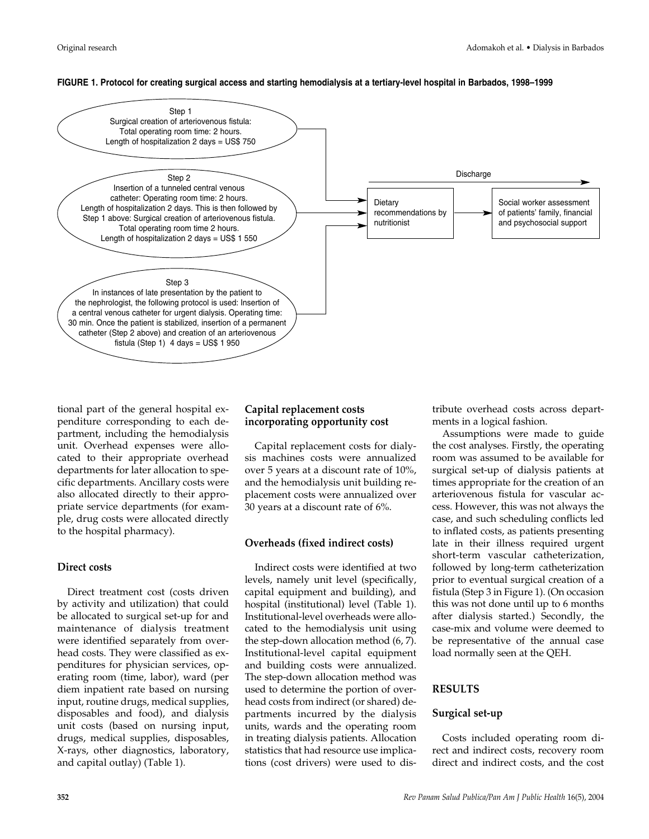#### **FIGURE 1. Protocol for creating surgical access and starting hemodialysis at a tertiary-level hospital in Barbados, 1998–1999**



tional part of the general hospital expenditure corresponding to each department, including the hemodialysis unit. Overhead expenses were allocated to their appropriate overhead departments for later allocation to specific departments. Ancillary costs were also allocated directly to their appropriate service departments (for example, drug costs were allocated directly to the hospital pharmacy).

## **Direct costs**

Direct treatment cost (costs driven by activity and utilization) that could be allocated to surgical set-up for and maintenance of dialysis treatment were identified separately from overhead costs. They were classified as expenditures for physician services, operating room (time, labor), ward (per diem inpatient rate based on nursing input, routine drugs, medical supplies, disposables and food), and dialysis unit costs (based on nursing input, drugs, medical supplies, disposables, X-rays, other diagnostics, laboratory, and capital outlay) (Table 1).

## **Capital replacement costs incorporating opportunity cost**

Capital replacement costs for dialysis machines costs were annualized over 5 years at a discount rate of 10%, and the hemodialysis unit building replacement costs were annualized over 30 years at a discount rate of 6%.

## **Overheads (fixed indirect costs)**

Indirect costs were identified at two levels, namely unit level (specifically, capital equipment and building), and hospital (institutional) level (Table 1). Institutional-level overheads were allocated to the hemodialysis unit using the step-down allocation method (6, 7). Institutional-level capital equipment and building costs were annualized. The step-down allocation method was used to determine the portion of overhead costs from indirect (or shared) departments incurred by the dialysis units, wards and the operating room in treating dialysis patients. Allocation statistics that had resource use implications (cost drivers) were used to distribute overhead costs across departments in a logical fashion.

Assumptions were made to guide the cost analyses. Firstly, the operating room was assumed to be available for surgical set-up of dialysis patients at times appropriate for the creation of an arteriovenous fistula for vascular access. However, this was not always the case, and such scheduling conflicts led to inflated costs, as patients presenting late in their illness required urgent short-term vascular catheterization, followed by long-term catheterization prior to eventual surgical creation of a fistula (Step 3 in Figure 1). (On occasion this was not done until up to 6 months after dialysis started.) Secondly, the case-mix and volume were deemed to be representative of the annual case load normally seen at the QEH.

## **RESULTS**

## **Surgical set-up**

Costs included operating room direct and indirect costs, recovery room direct and indirect costs, and the cost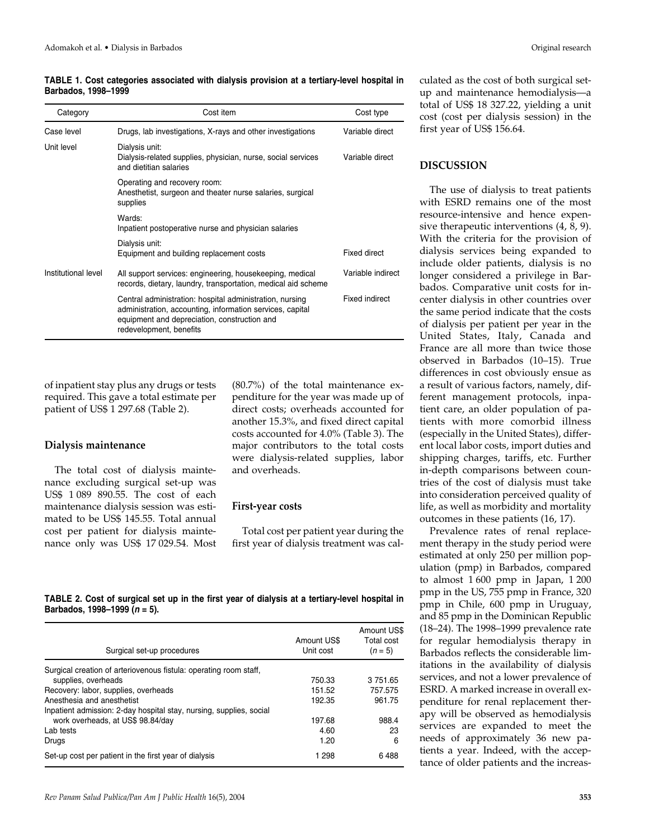#### **TABLE 1. Cost categories associated with dialysis provision at a tertiary-level hospital in Barbados, 1998–1999**

| Category            | Cost item                                                                                                                                                                                        | Cost type         |
|---------------------|--------------------------------------------------------------------------------------------------------------------------------------------------------------------------------------------------|-------------------|
| Case level          | Drugs, lab investigations, X-rays and other investigations                                                                                                                                       | Variable direct   |
| Unit level          | Dialysis unit:<br>Dialysis-related supplies, physician, nurse, social services<br>and dietitian salaries                                                                                         | Variable direct   |
|                     | Operating and recovery room:<br>Anesthetist, surgeon and theater nurse salaries, surgical<br>supplies                                                                                            |                   |
|                     | Wards:<br>Inpatient postoperative nurse and physician salaries                                                                                                                                   |                   |
|                     | Dialysis unit:<br>Equipment and building replacement costs                                                                                                                                       | Fixed direct      |
| Institutional level | All support services: engineering, housekeeping, medical<br>records, dietary, laundry, transportation, medical aid scheme                                                                        | Variable indirect |
|                     | Central administration: hospital administration, nursing<br>administration, accounting, information services, capital<br>equipment and depreciation, construction and<br>redevelopment, benefits | Fixed indirect    |

of inpatient stay plus any drugs or tests required. This gave a total estimate per patient of US\$ 1 297.68 (Table 2).

#### **Dialysis maintenance**

The total cost of dialysis maintenance excluding surgical set-up was US\$ 1 089 890.55. The cost of each maintenance dialysis session was estimated to be US\$ 145.55. Total annual cost per patient for dialysis maintenance only was US\$ 17 029.54. Most

(80.7%) of the total maintenance expenditure for the year was made up of direct costs; overheads accounted for another 15.3%, and fixed direct capital costs accounted for 4.0% (Table 3). The major contributors to the total costs were dialysis-related supplies, labor and overheads.

#### **First-year costs**

Total cost per patient year during the first year of dialysis treatment was cal-

**TABLE 2. Cost of surgical set up in the first year of dialysis at a tertiary-level hospital in Barbados, 1998–1999 (***n* **= 5).**

| Surgical set-up procedures                                          | Amount US\$<br>Unit cost | Amount US\$<br>Total cost<br>$(n = 5)$ |
|---------------------------------------------------------------------|--------------------------|----------------------------------------|
| Surgical creation of arteriovenous fistula: operating room staff,   |                          |                                        |
| supplies, overheads                                                 | 750.33                   | 3751.65                                |
| Recovery: labor, supplies, overheads                                | 151.52                   | 757.575                                |
| Anesthesia and anesthetist                                          | 192.35                   | 961.75                                 |
| Inpatient admission: 2-day hospital stay, nursing, supplies, social |                          |                                        |
| work overheads, at US\$ 98.84/day                                   | 197.68                   | 988.4                                  |
| Lab tests                                                           | 4.60                     | 23                                     |
| Drugs                                                               | 1.20                     | 6                                      |
| Set-up cost per patient in the first year of dialysis               | 1 298                    | 6488                                   |

culated as the cost of both surgical setup and maintenance hemodialysis—a total of US\$ 18 327.22, yielding a unit cost (cost per dialysis session) in the first year of US\$ 156.64.

## **DISCUSSION**

The use of dialysis to treat patients with ESRD remains one of the most resource-intensive and hence expensive therapeutic interventions (4, 8, 9). With the criteria for the provision of dialysis services being expanded to include older patients, dialysis is no longer considered a privilege in Barbados. Comparative unit costs for incenter dialysis in other countries over the same period indicate that the costs of dialysis per patient per year in the United States, Italy, Canada and France are all more than twice those observed in Barbados (10–15). True differences in cost obviously ensue as a result of various factors, namely, different management protocols, inpatient care, an older population of patients with more comorbid illness (especially in the United States), different local labor costs, import duties and shipping charges, tariffs, etc. Further in-depth comparisons between countries of the cost of dialysis must take into consideration perceived quality of life, as well as morbidity and mortality outcomes in these patients (16, 17).

Prevalence rates of renal replacement therapy in the study period were estimated at only 250 per million population (pmp) in Barbados, compared to almost 1 600 pmp in Japan, 1 200 pmp in the US, 755 pmp in France, 320 pmp in Chile, 600 pmp in Uruguay, and 85 pmp in the Dominican Republic (18–24). The 1998–1999 prevalence rate for regular hemodialysis therapy in Barbados reflects the considerable limitations in the availability of dialysis services, and not a lower prevalence of ESRD. A marked increase in overall expenditure for renal replacement therapy will be observed as hemodialysis services are expanded to meet the needs of approximately 36 new patients a year. Indeed, with the acceptance of older patients and the increas-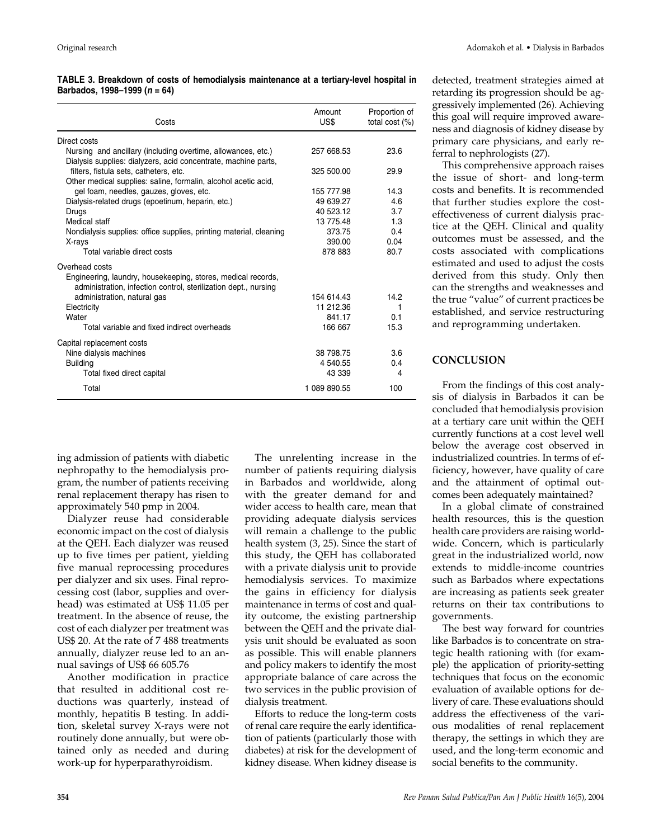#### **TABLE 3. Breakdown of costs of hemodialysis maintenance at a tertiary-level hospital in Barbados, 1998–1999 (***n* **= 64)**

| Costs                                                                                                                                             | Amount<br>US\$ | Proportion of<br>total cost (%) |
|---------------------------------------------------------------------------------------------------------------------------------------------------|----------------|---------------------------------|
| Direct costs                                                                                                                                      |                |                                 |
| Nursing and ancillary (including overtime, allowances, etc.)<br>Dialysis supplies: dialyzers, acid concentrate, machine parts,                    | 257 668.53     | 23.6                            |
| filters, fistula sets, catheters, etc.<br>Other medical supplies: saline, formalin, alcohol acetic acid,                                          | 325 500.00     | 29.9                            |
| gel foam, needles, gauzes, gloves, etc.                                                                                                           | 155 777.98     | 14.3                            |
| Dialysis-related drugs (epoetinum, heparin, etc.)                                                                                                 | 49 639.27      | 4.6                             |
| Drugs                                                                                                                                             | 40 523.12      | 3.7                             |
| Medical staff                                                                                                                                     | 13 775.48      | 1.3                             |
| Nondialysis supplies: office supplies, printing material, cleaning                                                                                | 373.75         | 0.4                             |
| X-rays                                                                                                                                            | 390.00         | 0.04                            |
| Total variable direct costs                                                                                                                       | 878 883        | 80.7                            |
| Overhead costs<br>Engineering, laundry, housekeeping, stores, medical records,<br>administration, infection control, sterilization dept., nursing |                |                                 |
| administration, natural gas                                                                                                                       | 154 614.43     | 14.2                            |
| Electricity                                                                                                                                       | 11 212.36      | 1                               |
| Water                                                                                                                                             | 841.17         | 0.1                             |
| Total variable and fixed indirect overheads                                                                                                       | 166 667        | 15.3                            |
| Capital replacement costs                                                                                                                         |                |                                 |
| Nine dialysis machines                                                                                                                            | 38 798.75      | 3.6                             |
| <b>Building</b>                                                                                                                                   | 4 540.55       | 0.4                             |
| Total fixed direct capital                                                                                                                        | 43 339         | 4                               |
| Total                                                                                                                                             | 1 089 890.55   | 100                             |

ing admission of patients with diabetic nephropathy to the hemodialysis program, the number of patients receiving renal replacement therapy has risen to approximately 540 pmp in 2004.

Dialyzer reuse had considerable economic impact on the cost of dialysis at the QEH. Each dialyzer was reused up to five times per patient, yielding five manual reprocessing procedures per dialyzer and six uses. Final reprocessing cost (labor, supplies and overhead) was estimated at US\$ 11.05 per treatment. In the absence of reuse, the cost of each dialyzer per treatment was US\$ 20. At the rate of 7 488 treatments annually, dialyzer reuse led to an annual savings of US\$ 66 605.76

Another modification in practice that resulted in additional cost reductions was quarterly, instead of monthly, hepatitis B testing. In addition, skeletal survey X-rays were not routinely done annually, but were obtained only as needed and during work-up for hyperparathyroidism.

The unrelenting increase in the number of patients requiring dialysis in Barbados and worldwide, along with the greater demand for and wider access to health care, mean that providing adequate dialysis services will remain a challenge to the public health system (3, 25). Since the start of this study, the QEH has collaborated with a private dialysis unit to provide hemodialysis services. To maximize the gains in efficiency for dialysis maintenance in terms of cost and quality outcome, the existing partnership between the QEH and the private dialysis unit should be evaluated as soon as possible. This will enable planners and policy makers to identify the most appropriate balance of care across the two services in the public provision of dialysis treatment.

Efforts to reduce the long-term costs of renal care require the early identification of patients (particularly those with diabetes) at risk for the development of kidney disease. When kidney disease is

detected, treatment strategies aimed at retarding its progression should be aggressively implemented (26). Achieving this goal will require improved awareness and diagnosis of kidney disease by primary care physicians, and early referral to nephrologists (27).

This comprehensive approach raises the issue of short- and long-term costs and benefits. It is recommended that further studies explore the costeffectiveness of current dialysis practice at the QEH. Clinical and quality outcomes must be assessed, and the costs associated with complications estimated and used to adjust the costs derived from this study. Only then can the strengths and weaknesses and the true "value" of current practices be established, and service restructuring and reprogramming undertaken.

# **CONCLUSION**

From the findings of this cost analysis of dialysis in Barbados it can be concluded that hemodialysis provision at a tertiary care unit within the QEH currently functions at a cost level well below the average cost observed in industrialized countries. In terms of efficiency, however, have quality of care and the attainment of optimal outcomes been adequately maintained?

In a global climate of constrained health resources, this is the question health care providers are raising worldwide. Concern, which is particularly great in the industrialized world, now extends to middle-income countries such as Barbados where expectations are increasing as patients seek greater returns on their tax contributions to governments.

The best way forward for countries like Barbados is to concentrate on strategic health rationing with (for example) the application of priority-setting techniques that focus on the economic evaluation of available options for delivery of care. These evaluations should address the effectiveness of the various modalities of renal replacement therapy, the settings in which they are used, and the long-term economic and social benefits to the community.